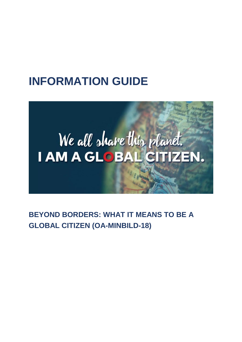## **INFORMATION GUIDE**

# We all share this planet. I AM A GLOBAL CITIZEN.

**BEYOND BORDERS: WHAT IT MEANS TO BE A GLOBAL CITIZEN (OA-MINBILD-18)**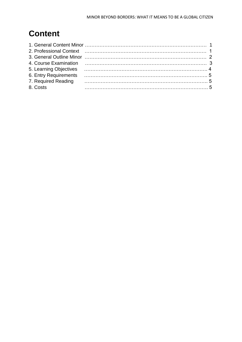### **Content**

|                     | 2. Professional Context (and according to the context of the context of the context of the context of the context of the context of the context of the context of the context of the context of the context of the context of |  |
|---------------------|-------------------------------------------------------------------------------------------------------------------------------------------------------------------------------------------------------------------------------|--|
|                     |                                                                                                                                                                                                                               |  |
|                     | 4. Course Examination <i>manufacture course in the course of a course fixed in the course of a course of a course of</i>                                                                                                      |  |
|                     |                                                                                                                                                                                                                               |  |
|                     |                                                                                                                                                                                                                               |  |
| 7. Required Reading |                                                                                                                                                                                                                               |  |
| 8. Costs            |                                                                                                                                                                                                                               |  |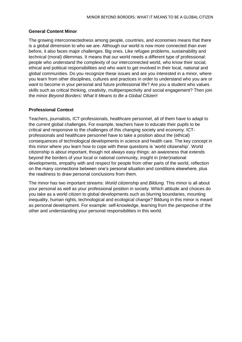#### **General Content Minor**

The growing interconnectedness among people, countries, and economies means that there is a global dimension to who we are. Although our world is now more connected than ever before, it also faces major challenges. Big ones. Like refugee problems, sustainability and technical (moral) dilemmas. It means that our world needs a different type of professional: people who understand the complexity of our interconnected world, who know their social, ethical and political responsibilities and who want to get involved in their local, national and global communities. Do you recognize these issues and are you interested in a minor, where you learn from other disciplines, cultures and practices in order to understand who you are or want to become in your personal and future professional life? Are you a student who values skills such as critical thinking, creativity, multiperspectivity and social engagement? Then join the minor *Beyond Borders: What It Means to Be a Global Citizen*!

#### **Professional Context**

Teachers, journalists, ICT-professionals, healthcare personnel, all of them have to adapt to the current global challenges. For example, teachers have to educate their pupils to be critical and responsive to the challenges of this changing society and economy. ICTprofessionals and healthcare personnel have to take a position about the (ethical) consequences of technological developments in science and health care. The key concept in this minor where you learn how to cope with these questions is 'world citizenship'. World citizenship is about important, though not always easy things: an awareness that extends beyond the borders of your local or national community, insight in (inter)national developments, empathy with and respect for people from other parts of the world, reflection on the many connections between one's personal situation and conditions elsewhere, plus the readiness to draw personal conclusions from them.

The minor has two important streams: *World citizenship* and *Bildung.* This minor is all about your personal as well as your professional position in society. Which attitude and choices do you take as a world citizen to global developments such as blurring boundaries, mounting inequality, human rights, technological and ecological change? Bildung in this minor is meant as personal development. For example: self-knowledge, learning from the perspective of the other and understanding your personal responsibilities in this world.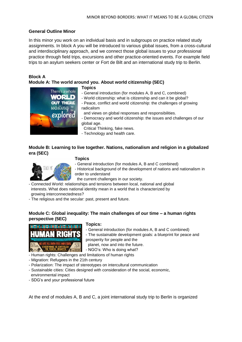#### **General Outline Minor**

In this minor you work on an individual basis and in subgroups on practice related study assignments. In block A you will be introduced to various global issues, from a cross-cultural and interdisciplinary approach, and we connect those global issues to your professional practice through field trips, excursions and other practice-oriented events. For example field trips to an asylum seekers center or Fort de Bilt and an international study trip to Berlin.

#### **Block A**

#### **Module A: The world around you. About world citizenship (5EC)**



#### **Topics**

- General introduction (for modules A, B and C, combined)
- World citizenship: what is citizenship and can it be global?
- Peace, conflict and world citizenship: the challenges of growing radicalism
- and views on global responses and responsibilities.
- Democracy and world citizenship: the issues and challenges of our global age.
- Critical Thinking, fake news.
- Technology and health care.

#### **Module B: Learning to live together. Nations, nationalism and religion in a globalized era (5EC)**



#### **Topics**

- General introduction (for modules A, B and C combined)
- Historical background of the development of nations and nationalism in order to understand
	- the current challenges in our society.
- Connected World: relationships and tensions between local, national and global interests. What does national identity mean in a world that is characterized by growing interconnectedness?
- The religious and the secular: past, present and future.

#### **Module C: Global inequality: The main challenges of our time – a human rights perspective (5EC)**



#### **Topics:**

- General introduction (for modules A, B and C combined)
- The sustainable development goals: a blueprint for peace and prosperity for people and the

planet, now and into the future.

- NGO's: Who is doing what?
- Human rights: Challenges and limitations of human rights
- Migration: Refugees in the 21th century
- Polarization: The impact of stereotypes on intercultural communication
- Sustainable cities: Cities designed with consideration of the social, economic, environmental impact
- SDG's and your professional future

At the end of modules A, B and C, a joint international study trip to Berlin is organized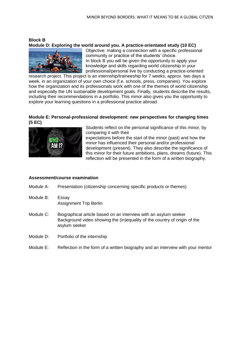#### **Block B Module D: Exploring the world around you. A practice-orientated study (10 EC)**



Objective: making a connection with a specific professional community or practice of the students' choice. In block B you will be given the opportunity to apply your knowledge and skills regarding world citizenship in your professional/personal live by conducting a practice-oriented

research project. This project is an internship/traineeship for 7 weeks, approx. two days a week, in an organization of your own choice (f.e. schools, press, companies). You explore how the organization and its professionals work with one of the themes of world citizenship and especially the UN sustainable development goals. Finally, students describe the results, including their recommendations in a portfolio. This minor also gives you the opportunity to explore your learning questions in a professional practice abroad.

#### **Module E: Personal-professional development: new perspectives for changing times (5 EC)**



Students reflect on the personal significance of this minor, by comparing it with their

expectations before the start of the minor (past) and how the minor has influenced their personal and/or professional development (present). They also describe the significance of this minor for their future ambitions, plans, dreams (future). This reflection will be presented in the form of a written biography.

#### **Assessment/course examination**

- Module A: Presentation (citizenship concerning specific products or themes)
- Module B: Essay Assignment Trip Berlin
- Module C: Biographical article based on an interview with an asylum seeker Background video showing the (in)equality of the country of origin of the asylum seeker
- Module D: Portfolio of the internship
- Module E: Reflection in the form of a written biography and an interview with your mentor